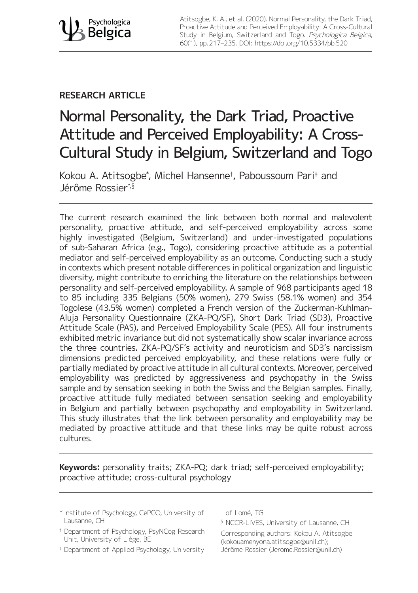Atitsogbe, K. A., et al. (2020). Normal Personality, the Dark Triad, Proactive Attitude and Perceived Employability: A Cross-Cultural Study in Belgium, Switzerland and Togo. Psychologica Belgica, 60(1), pp. 217–235. DOI:<https://doi.org/10.5334/pb.520>

## **RESEARCH ARTICLE**

# Normal Personality, the Dark Triad, Proactive Attitude and Perceived Employability: A Cross-Cultural Study in Belgium, Switzerland and Togo

Kokou A. Atitsogbe\* , Michel Hansenne† , Paboussoum Pari‡ and Jérôme Rossier\*<sup>§</sup>

The current research examined the link between both normal and malevolent personality, proactive attitude, and self-perceived employability across some highly investigated (Belgium, Switzerland) and under-investigated populations of sub-Saharan Africa (e.g., Togo), considering proactive attitude as a potential mediator and self-perceived employability as an outcome. Conducting such a study in contexts which present notable differences in political organization and linguistic diversity, might contribute to enriching the literature on the relationships between personality and self-perceived employability. A sample of 968 participants aged 18 to 85 including 335 Belgians (50% women), 279 Swiss (58.1% women) and 354 Togolese (43.5% women) completed a French version of the Zuckerman-Kuhlman-Aluja Personality Questionnaire (ZKA-PQ/SF), Short Dark Triad (SD3), Proactive Attitude Scale (PAS), and Perceived Employability Scale (PES). All four instruments exhibited metric invariance but did not systematically show scalar invariance across the three countries. ZKA-PQ/SF's activity and neuroticism and SD3's narcissism dimensions predicted perceived employability, and these relations were fully or partially mediated by proactive attitude in all cultural contexts. Moreover, perceived employability was predicted by aggressiveness and psychopathy in the Swiss sample and by sensation seeking in both the Swiss and the Belgian samples. Finally, proactive attitude fully mediated between sensation seeking and employability in Belgium and partially between psychopathy and employability in Switzerland. This study illustrates that the link between personality and employability may be mediated by proactive attitude and that these links may be quite robust across cultures.

**Keywords:** personality traits; ZKA-PQ; dark triad; self-perceived employability; proactive attitude; cross-cultural psychology

- \* Institute of Psychology, CePCO, University of Lausanne, CH
- † Department of Psychology, PsyNCog Research Unit, University of Liège, BE
- ‡ Department of Applied Psychology, University

of Lomé, TG

§ NCCR-LIVES, University of Lausanne, CH Corresponding authors: Kokou A. Atitsogbe ([kokouamenyona.atitsogbe@unil.ch\)](mailto:kokouamenyona.atitsogbe@unil.ch); Jérôme Rossier [\(Jerome.Rossier@unil.ch](mailto:Jerome.Rossier@unil.ch))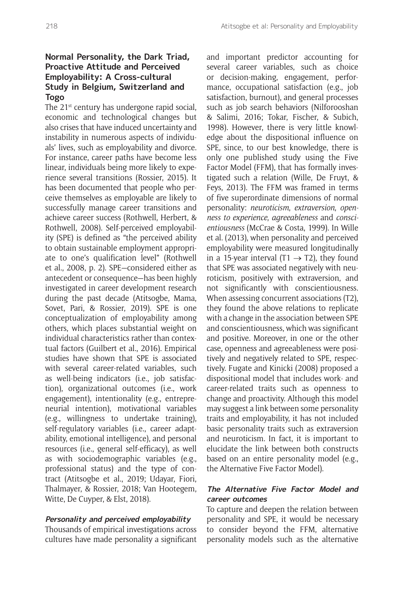## **Normal Personality, the Dark Triad, Proactive Attitude and Perceived Employability: A Cross-cultural Study in Belgium, Switzerland and Togo**

The 21<sup>st</sup> century has undergone rapid social, economic and technological changes but also crises that have induced uncertainty and instability in numerous aspects of individuals' lives, such as employability and divorce. For instance, career paths have become less linear, individuals being more likely to experience several transitions (Rossier, 2015). It has been documented that people who perceive themselves as employable are likely to successfully manage career transitions and achieve career success (Rothwell, Herbert, & Rothwell, 2008). Self-perceived employability (SPE) is defined as "the perceived ability to obtain sustainable employment appropriate to one's qualification level" (Rothwell et al., 2008, p. 2). SPE—considered either as antecedent or consequence—has been highly investigated in career development research during the past decade (Atitsogbe, Mama, Sovet, Pari, & Rossier, 2019). SPE is one conceptualization of employability among others, which places substantial weight on individual characteristics rather than contextual factors (Guilbert et al., 2016). Empirical studies have shown that SPE is associated with several career-related variables, such as well-being indicators (i.e., job satisfaction), organizational outcomes (i.e., work engagement), intentionality (e.g., entrepreneurial intention), motivational variables (e.g., willingness to undertake training), self-regulatory variables (i.e., career adaptability, emotional intelligence), and personal resources (i.e., general self-efficacy), as well as with sociodemographic variables (e.g., professional status) and the type of contract (Atitsogbe et al., 2019; Udayar, Fiori, Thalmayer, & Rossier, 2018; Van Hootegem, Witte, De Cuyper, & Elst, 2018).

#### **Personality and perceived employability**

Thousands of empirical investigations across cultures have made personality a significant and important predictor accounting for several career variables, such as choice or decision-making, engagement, performance, occupational satisfaction (e.g., job satisfaction, burnout), and general processes such as job search behaviors (Nilforooshan & Salimi, 2016; Tokar, Fischer, & Subich, 1998). However, there is very little knowledge about the dispositional influence on SPE, since, to our best knowledge, there is only one published study using the Five Factor Model (FFM), that has formally investigated such a relation (Wille, De Fruyt, & Feys, 2013). The FFM was framed in terms of five superordinate dimensions of normal personality: *neuroticism*, *extraversion*, *openness to experience*, *agreeableness* and *conscientiousness* (McCrae & Costa, 1999). In Wille et al. (2013), when personality and perceived employability were measured longitudinally in a 15-year interval (T1  $\rightarrow$  T2), they found that SPE was associated negatively with neuroticism, positively with extraversion, and not significantly with conscientiousness. When assessing concurrent associations (T2), they found the above relations to replicate with a change in the association between SPE and conscientiousness, which was significant and positive. Moreover, in one or the other case, openness and agreeableness were positively and negatively related to SPE, respectively. Fugate and Kinicki (2008) proposed a dispositional model that includes work- and career-related traits such as openness to change and proactivity. Although this model may suggest a link between some personality traits and employability, it has not included basic personality traits such as extraversion and neuroticism. In fact, it is important to elucidate the link between both constructs based on an entire personality model (e.g., the Alternative Five Factor Model).

## **The Alternative Five Factor Model and career outcomes**

To capture and deepen the relation between personality and SPE, it would be necessary to consider beyond the FFM, alternative personality models such as the alternative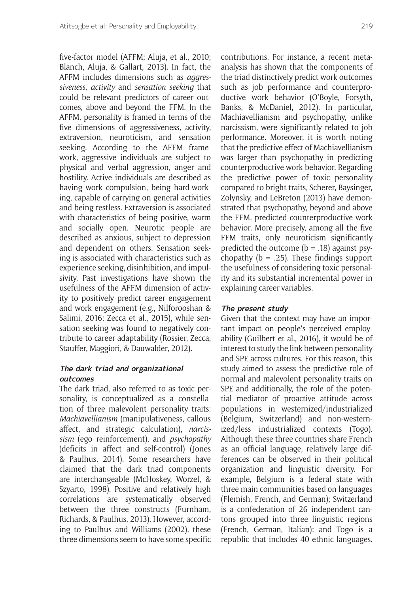five-factor model (AFFM; Aluja, et al., 2010; Blanch, Aluja, & Gallart, 2013). In fact, the AFFM includes dimensions such as *aggressiveness*, *activity* and *sensation seeking* that could be relevant predictors of career outcomes, above and beyond the FFM. In the AFFM, personality is framed in terms of the five dimensions of aggressiveness, activity, extraversion, neuroticism, and sensation seeking. According to the AFFM framework, aggressive individuals are subject to physical and verbal aggression, anger and hostility. Active individuals are described as having work compulsion, being hard-working, capable of carrying on general activities and being restless. Extraversion is associated with characteristics of being positive, warm and socially open. Neurotic people are described as anxious, subject to depression and dependent on others. Sensation seeking is associated with characteristics such as experience seeking, disinhibition, and impulsivity. Past investigations have shown the usefulness of the AFFM dimension of activity to positively predict career engagement and work engagement (e.g., Nilforooshan & Salimi, 2016; Zecca et al., 2015), while sensation seeking was found to negatively contribute to career adaptability (Rossier, Zecca, Stauffer, Maggiori, & Dauwalder, 2012).

### **The dark triad and organizational outcomes**

The dark triad, also referred to as toxic personality, is conceptualized as a constellation of three malevolent personality traits: *Machiavellianism* (manipulativeness, callous affect, and strategic calculation), *narcissism* (ego reinforcement), and *psychopathy* (deficits in affect and self-control) (Jones & Paulhus, 2014). Some researchers have claimed that the dark triad components are interchangeable (McHoskey, Worzel, & Szyarto, 1998). Positive and relatively high correlations are systematically observed between the three constructs (Furnham, Richards, & Paulhus, 2013). However, according to Paulhus and Williams (2002), these three dimensions seem to have some specific

contributions. For instance, a recent metaanalysis has shown that the components of the triad distinctively predict work outcomes such as job performance and counterproductive work behavior (O'Boyle, Forsyth, Banks, & McDaniel, 2012). In particular, Machiavellianism and psychopathy, unlike narcissism, were significantly related to job performance. Moreover, it is worth noting that the predictive effect of Machiavellianism was larger than psychopathy in predicting counterproductive work behavior. Regarding the predictive power of toxic personality compared to bright traits, Scherer, Baysinger, Zolynsky, and LeBreton (2013) have demonstrated that psychopathy, beyond and above the FFM, predicted counterproductive work behavior. More precisely, among all the five FFM traits, only neuroticism significantly predicted the outcome  $(b = .18)$  against psychopathy ( $b = .25$ ). These findings support the usefulness of considering toxic personality and its substantial incremental power in explaining career variables.

#### **The present study**

Given that the context may have an important impact on people's perceived employability (Guilbert et al., 2016), it would be of interest to study the link between personality and SPE across cultures. For this reason, this study aimed to assess the predictive role of normal and malevolent personality traits on SPE and additionally, the role of the potential mediator of proactive attitude across populations in westernized/industrialized (Belgium, Switzerland) and non-westernized/less industrialized contexts (Togo). Although these three countries share French as an official language, relatively large differences can be observed in their political organization and linguistic diversity. For example, Belgium is a federal state with three main communities based on languages (Flemish, French, and German); Switzerland is a confederation of 26 independent cantons grouped into three linguistic regions (French, German, Italian); and Togo is a republic that includes 40 ethnic languages.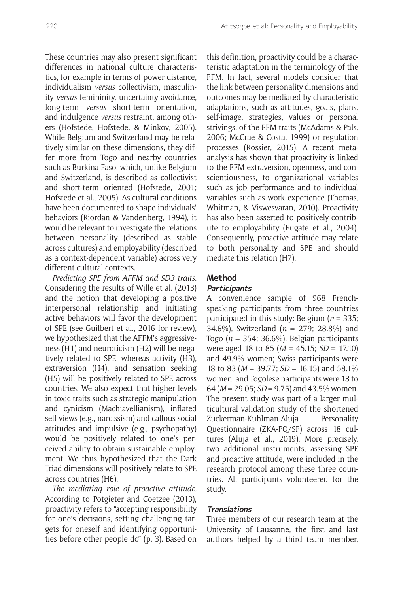These countries may also present significant differences in national culture characteristics, for example in terms of power distance, individualism *versus* collectivism, masculinity *versus* femininity, uncertainty avoidance, long-term *versus* short-term orientation, and indulgence *versus* restraint, among others (Hofstede, Hofstede, & Minkov, 2005). While Belgium and Switzerland may be relatively similar on these dimensions, they differ more from Togo and nearby countries such as Burkina Faso, which, unlike Belgium and Switzerland, is described as collectivist and short-term oriented (Hofstede, 2001; Hofstede et al., 2005). As cultural conditions have been documented to shape individuals' behaviors (Riordan & Vandenberg, 1994), it would be relevant to investigate the relations between personality (described as stable across cultures) and employability (described as a context-dependent variable) across very different cultural contexts.

*Predicting SPE from AFFM and SD3 traits*. Considering the results of Wille et al. (2013) and the notion that developing a positive interpersonal relationship and initiating active behaviors will favor the development of SPE (see Guilbert et al., 2016 for review), we hypothesized that the AFFM's aggressiveness (H1) and neuroticism (H2) will be negatively related to SPE, whereas activity (H3), extraversion (H4), and sensation seeking (H5) will be positively related to SPE across countries. We also expect that higher levels in toxic traits such as strategic manipulation and cynicism (Machiavellianism), inflated self-views (e.g., narcissism) and callous social attitudes and impulsive (e.g., psychopathy) would be positively related to one's perceived ability to obtain sustainable employment. We thus hypothesized that the Dark Triad dimensions will positively relate to SPE across countries (H6).

*The mediating role of proactive attitude.*  According to Potgieter and Coetzee (2013), proactivity refers to "accepting responsibility for one's decisions, setting challenging targets for oneself and identifying opportunities before other people do" (p. 3). Based on this definition, proactivity could be a characteristic adaptation in the terminology of the FFM. In fact, several models consider that the link between personality dimensions and outcomes may be mediated by characteristic adaptations, such as attitudes, goals, plans, self-image, strategies, values or personal strivings, of the FFM traits (McAdams & Pals, 2006; McCrae & Costa, 1999) or regulation processes (Rossier, 2015). A recent metaanalysis has shown that proactivity is linked to the FFM extraversion, openness, and conscientiousness, to organizational variables such as job performance and to individual variables such as work experience (Thomas, Whitman, & Viswesvaran, 2010). Proactivity has also been asserted to positively contribute to employability (Fugate et al., 2004). Consequently, proactive attitude may relate to both personality and SPE and should mediate this relation (H7).

## **Method**

#### **Participants**

A convenience sample of 968 Frenchspeaking participants from three countries participated in this study: Belgium (*n* = 335; 34.6%), Switzerland (*n* = 279; 28.8%) and Togo (*n* = 354; 36.6%). Belgian participants were aged 18 to 85 (*M* = 45.15; *SD* = 17.10) and 49.9% women; Swiss participants were 18 to 83 (*M* = 39.77; *SD* = 16.15) and 58.1% women, and Togolese participants were 18 to 64 (*M* = 29.05; *SD* = 9.75) and 43.5% women. The present study was part of a larger multicultural validation study of the shortened Zuckerman-Kuhlman-Aluja Personality Questionnaire (ZKA-PQ/SF) across 18 cultures (Aluja et al., 2019). More precisely, two additional instruments, assessing SPE and proactive attitude, were included in the research protocol among these three countries. All participants volunteered for the study.

#### **Translations**

Three members of our research team at the University of Lausanne, the first and last authors helped by a third team member,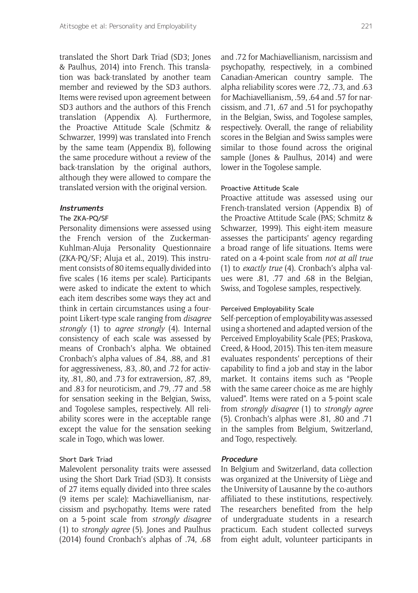translated the Short Dark Triad (SD3; Jones & Paulhus, 2014) into French. This translation was back-translated by another team member and reviewed by the SD3 authors. Items were revised upon agreement between SD3 authors and the authors of this French translation (Appendix A). Furthermore, the Proactive Attitude Scale (Schmitz & Schwarzer, 1999) was translated into French by the same team (Appendix B), following the same procedure without a review of the back-translation by the original authors, although they were allowed to compare the translated version with the original version.

#### **Instruments**

#### The ZKA-PQ/SF

Personality dimensions were assessed using the French version of the Zuckerman-Kuhlman-Aluja Personality Questionnaire (ZKA-PQ/SF; Aluja et al., 2019). This instrument consists of 80 items equally divided into five scales (16 items per scale). Participants were asked to indicate the extent to which each item describes some ways they act and think in certain circumstances using a fourpoint Likert-type scale ranging from *disagree strongly* (1) to *agree strongly* (4). Internal consistency of each scale was assessed by means of Cronbach's alpha. We obtained Cronbach's alpha values of .84, .88, and .81 for aggressiveness, .83, .80, and .72 for activity, .81, .80, and .73 for extraversion, .87, .89, and .83 for neuroticism, and .79, .77 and .58 for sensation seeking in the Belgian, Swiss, and Togolese samples, respectively. All reliability scores were in the acceptable range except the value for the sensation seeking scale in Togo, which was lower.

#### Short Dark Triad

Malevolent personality traits were assessed using the Short Dark Triad (SD3). It consists of 27 items equally divided into three scales (9 items per scale): Machiavellianism, narcissism and psychopathy. Items were rated on a 5-point scale from *strongly disagree* (1) to *strongly agree* (5). Jones and Paulhus (2014) found Cronbach's alphas of .74, .68

and .72 for Machiavellianism, narcissism and psychopathy, respectively, in a combined Canadian-American country sample. The alpha reliability scores were .72, .73, and .63 for Machiavellianism, .59, .64 and .57 for narcissism, and .71, .67 and .51 for psychopathy in the Belgian, Swiss, and Togolese samples, respectively. Overall, the range of reliability scores in the Belgian and Swiss samples were similar to those found across the original sample (Jones & Paulhus, 2014) and were lower in the Togolese sample.

#### Proactive Attitude Scale

Proactive attitude was assessed using our French-translated version (Appendix B) of the Proactive Attitude Scale (PAS; Schmitz & Schwarzer, 1999). This eight-item measure assesses the participants' agency regarding a broad range of life situations. Items were rated on a 4-point scale from *not at all true* (1) to *exactly true* (4). Cronbach's alpha values were .81, .77 and .68 in the Belgian, Swiss, and Togolese samples, respectively.

#### Perceived Employability Scale

Self-perception of employability was assessed using a shortened and adapted version of the Perceived Employability Scale (PES; Praskova, Creed, & Hood, 2015). This ten-item measure evaluates respondents' perceptions of their capability to find a job and stay in the labor market. It contains items such as "People with the same career choice as me are highly valued". Items were rated on a 5-point scale from *strongly disagree* (1) to *strongly agree* (5). Cronbach's alphas were .81, .80 and .71 in the samples from Belgium, Switzerland, and Togo, respectively.

#### **Procedure**

In Belgium and Switzerland, data collection was organized at the University of Liège and the University of Lausanne by the co-authors affiliated to these institutions, respectively. The researchers benefited from the help of undergraduate students in a research practicum. Each student collected surveys from eight adult, volunteer participants in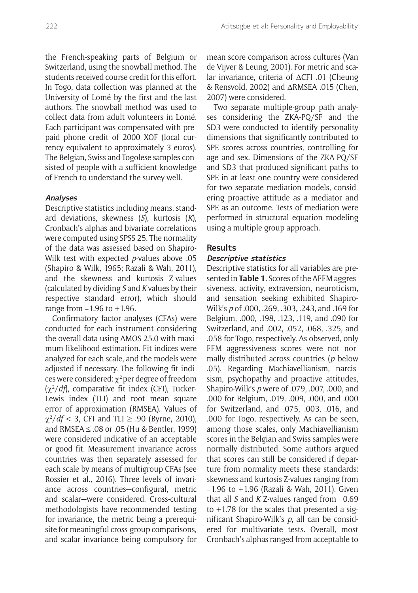the French-speaking parts of Belgium or Switzerland, using the snowball method. The students received course credit for this effort. In Togo, data collection was planned at the University of Lomé by the first and the last authors. The snowball method was used to collect data from adult volunteers in Lomé. Each participant was compensated with prepaid phone credit of 2000 XOF (local currency equivalent to approximately 3 euros). The Belgian, Swiss and Togolese samples consisted of people with a sufficient knowledge of French to understand the survey well.

#### **Analyses**

Descriptive statistics including means, standard deviations, skewness (*S*), kurtosis (*K*), Cronbach's alphas and bivariate correlations were computed using SPSS 25. The normality of the data was assessed based on Shapiro-Wilk test with expected *p*-values above .05 (Shapiro & Wilk, 1965; Razali & Wah, 2011), and the skewness and kurtosis Z-values (calculated by dividing *S* and *K* values by their respective standard error), which should range from −1.96 to +1.96.

Confirmatory factor analyses (CFAs) were conducted for each instrument considering the overall data using AMOS 25.0 with maximum likelihood estimation. Fit indices were analyzed for each scale, and the models were adjusted if necessary. The following fit indices were considered:  $\chi^2$  per degree of freedom (χ<sup>2</sup> /*df*), comparative fit index (CFI), Tucker-Lewis index (TLI) and root mean square error of approximation (RMSEA). Values of  $\chi^2/df$  < 3, CFI and TLI  $\geq$  .90 (Byrne, 2010), and RMSEA ≤ .08 or .05 (Hu & Bentler, 1999) were considered indicative of an acceptable or good fit. Measurement invariance across countries was then separately assessed for each scale by means of multigroup CFAs (see Rossier et al., 2016). Three levels of invariance across countries—configural, metric and scalar—were considered. Cross-cultural methodologists have recommended testing for invariance, the metric being a prerequisite for meaningful cross-group comparisons, and scalar invariance being compulsory for

mean score comparison across cultures (Van de Vijver & Leung, 2001). For metric and scalar invariance, criteria of ∆CFI .01 (Cheung & Rensvold, 2002) and ΔRMSEA .015 (Chen, 2007) were considered.

Two separate multiple-group path analyses considering the ZKA-PQ/SF and the SD3 were conducted to identify personality dimensions that significantly contributed to SPE scores across countries, controlling for age and sex. Dimensions of the ZKA-PQ/SF and SD3 that produced significant paths to SPE in at least one country were considered for two separate mediation models, considering proactive attitude as a mediator and SPE as an outcome. Tests of mediation were performed in structural equation modeling using a multiple group approach.

#### **Results**

#### **Descriptive statistics**

Descriptive statistics for all variables are presented in **Table 1**. Scores of the AFFM aggressiveness, activity, extraversion, neuroticism, and sensation seeking exhibited Shapiro-Wilk's *p* of .000, .269, .303, .243, and .169 for Belgium, .000, .198, .123, .119, and .090 for Switzerland, and .002, .052, .068, .325, and .058 for Togo, respectively. As observed, only FFM aggressiveness scores were not normally distributed across countries (*p* below .05). Regarding Machiavellianism, narcissism, psychopathy and proactive attitudes, Shapiro-Wilk's *p* were of .079, .007, .000, and .000 for Belgium, .019, .009, .000, and .000 for Switzerland, and .075, .003, .016, and .000 for Togo, respectively. As can be seen, among those scales, only Machiavellianism scores in the Belgian and Swiss samples were normally distributed. Some authors argued that scores can still be considered if departure from normality meets these standards: skewness and kurtosis Z-values ranging from −1.96 to +1.96 (Razali & Wah, 2011). Given that all *S* and *K* Z-values ranged from −0.69 to +1.78 for the scales that presented a significant Shapiro-Wilk's *p*, all can be considered for multivariate tests. Overall, most Cronbach's alphas ranged from acceptable to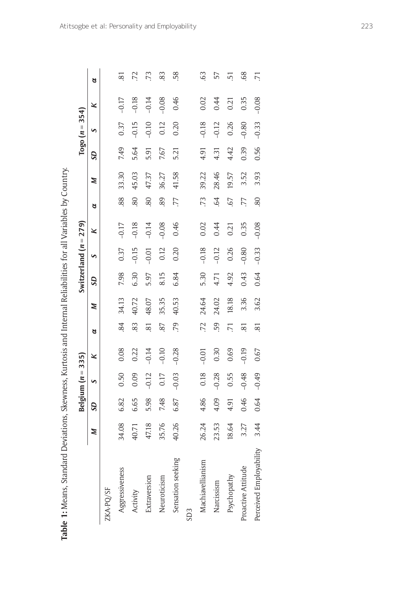| I             |
|---------------|
|               |
| l             |
|               |
|               |
|               |
|               |
|               |
|               |
|               |
|               |
|               |
|               |
|               |
|               |
|               |
|               |
|               |
|               |
|               |
|               |
| ļ             |
|               |
|               |
|               |
|               |
|               |
| I             |
| -<br>}        |
|               |
|               |
|               |
|               |
|               |
|               |
|               |
|               |
|               |
|               |
|               |
|               |
|               |
| ï             |
|               |
|               |
|               |
|               |
|               |
|               |
|               |
| I<br>I        |
|               |
|               |
|               |
|               |
| ֚֘            |
|               |
|               |
|               |
|               |
| 1             |
| ֚֚֬           |
|               |
| l             |
|               |
| $\frac{6}{1}$ |
|               |

|                         | $\overline{\phantom{a}}$ |           | Belgium $(n = 335)$ |         |                |       |           | Switzerland $(n = 279)$ |         |            |       |           | Togo $(n = 354)$ |         |                |
|-------------------------|--------------------------|-----------|---------------------|---------|----------------|-------|-----------|-------------------------|---------|------------|-------|-----------|------------------|---------|----------------|
|                         | Z                        | <b>GS</b> | S                   | ×       | a              | z     | <b>GS</b> | S                       | ×       | ಠ          | Z     | <b>GS</b> | S                | ×       | ಠ              |
| ZKA-PQ/SF               |                          |           |                     |         |                |       |           |                         |         |            |       |           |                  |         |                |
| Aggressiveness          | 34.08                    | 6.82      | 0.50                | 0.08    | 84             | 34.13 | 7.98      | 0.37                    | $-0.17$ | 88         | 33.30 | 7.49      | 0.37             | $-0.17$ | 81             |
| Activity                | 40.71                    | 6.65      | 0.09                | 0.22    | 83             | 40.72 | 6.30      | $-0.15$                 | $-0.18$ | 80         | 45.03 | 5.64      | $-0.15$          | $-0.18$ | 25             |
| Extraversion            | 47.18                    | 5.98      | $-0.12$             | $-0.14$ | $\overline{8}$ | 48.07 | 5.97      | $-0.01$                 | $-0.14$ | 80         | 47.37 | 5.91      | $-0.10$          | $-0.14$ | 73             |
| Neuroticism             | 35.76                    | 7.48      | 0.17                | $-0.10$ | 87             | 35.35 | 8.15      | 0.12                    | $-0.08$ | 89         | 36.27 | 7.67      | 0.12             | $-0.08$ | 83             |
| Sensation seeking       | 40.26                    | 6.87      | $-0.03$             | $-0.28$ | .79            | 40.53 | 6.84      | 0.20                    | 0.46    | 77         | 41.58 | 5.21      | 0.20             | 0.46    | 58             |
| SD <sub>3</sub>         |                          |           |                     |         |                |       |           |                         |         |            |       |           |                  |         |                |
| Machiavellianism        | 26.24                    | 4.86      | 0.18                | $-0.01$ | .72            | 24.64 | 5.30      | $-0.18$                 | 0.02    | .73        | 39.22 | 4.91      | $-0.18$          | 0.02    | G3             |
| Narcissism              | 23.53                    | 4.09      | $-0.28$             | 0.30    | 59             | 24.02 | 4.71      | $-0.12$                 | 0.44    | $\ddot{6}$ | 28.46 | 4.31      | $-0.12$          | 0.44    | 57             |
| Psychopathy             | 18.64                    | 4.91      | 0.55                | 0.69    | 5              | 18.18 | 4.92      | 0.26                    | 0.21    | 55.        | 19.57 | 4.42      | 0.26             | 0.21    | 5              |
| Proactive Attitude      | 3.27                     | 0.46      | $-0.48$             | $-0.19$ | S.             | 3.36  | 0.43      | $-0.80$                 | 0.35    | 77         | 3.52  | 0.39      | $-0.80$          | 0.35    | 68             |
| Perceived Employability | 3.44                     | 0.64      | $-0.49$             | 0.67    | $\overline{8}$ | 3.62  | 0.64      | $-0.33$                 | $-0.08$ | 80         | 3.93  | 0.56      | $-0.33$          | $-0.08$ | $\overline{2}$ |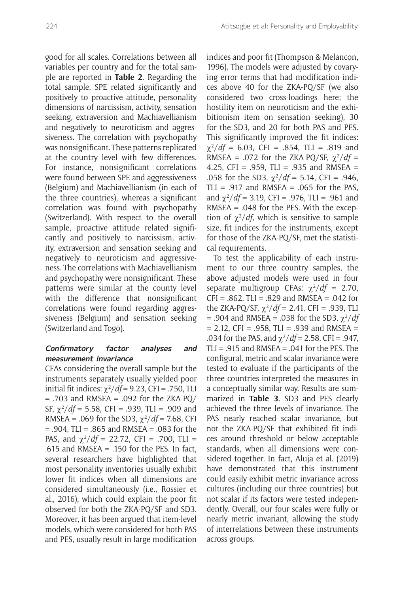good for all scales. Correlations between all variables per country and for the total sample are reported in **Table 2**. Regarding the total sample, SPE related significantly and positively to proactive attitude, personality dimensions of narcissism, activity, sensation seeking, extraversion and Machiavellianism and negatively to neuroticism and aggressiveness. The correlation with psychopathy was nonsignificant. These patterns replicated at the country level with few differences. For instance, nonsignificant correlations were found between SPE and aggressiveness (Belgium) and Machiavellianism (in each of the three countries), whereas a significant correlation was found with psychopathy (Switzerland). With respect to the overall sample, proactive attitude related significantly and positively to narcissism, activity, extraversion and sensation seeking and negatively to neuroticism and aggressiveness. The correlations with Machiavellianism and psychopathy were nonsignificant. These patterns were similar at the county level with the difference that nonsignificant correlations were found regarding aggressiveness (Belgium) and sensation seeking (Switzerland and Togo).

## **Confirmatory factor analyses and measurement invariance**

CFAs considering the overall sample but the instruments separately usually yielded poor initial fit indices:  $\chi^2/df = 9.23$ , CFI = .750, TLI  $= .703$  and RMSEA  $= .092$  for the ZKA-PQ/ SF,  $\chi^2/df = 5.58$ , CFI = .939, TLI = .909 and RMSEA = .069 for the SD3,  $\chi^2$ /*df* = 7.68, CFI  $= .904$ , TLI =  $.865$  and RMSEA =  $.083$  for the PAS, and  $\chi^2$ /*df* = 22.72, CFI = .700, TLI = .615 and RMSEA = .150 for the PES. In fact, several researchers have highlighted that most personality inventories usually exhibit lower fit indices when all dimensions are considered simultaneously (i.e., Rossier et al., 2016), which could explain the poor fit observed for both the ZKA-PQ/SF and SD3. Moreover, it has been argued that item-level models, which were considered for both PAS and PES, usually result in large modification

indices and poor fit (Thompson & Melancon, 1996). The models were adjusted by covarying error terms that had modification indices above 40 for the ZKA-PQ/SF (we also considered two cross-loadings here; the hostility item on neuroticism and the exhibitionism item on sensation seeking), 30 for the SD3, and 20 for both PAS and PES. This significantly improved the fit indices:  $\chi^2/df = 6.03$ , CFI = .854, TLI = .819 and RMSEA = .072 for the ZKA-PQ/SF,  $\chi^2/df =$ 4.25, CFI = .959, TLI = .935 and RMSEA = .058 for the SD3,  $\chi^2/df = 5.14$ , CFI = .946, TLI = .917 and RMSEA = .065 for the PAS. and  $\chi^2/df = 3.19$ , CFI = .976, TLI = .961 and RMSEA = .048 for the PES. With the exception of  $\chi^2/df$ , which is sensitive to sample size, fit indices for the instruments, except for those of the ZKA-PQ/SF, met the statistical requirements.

To test the applicability of each instrument to our three country samples, the above adjusted models were used in four separate multigroup CFAs:  $\chi^2/df = 2.70$ ,  $CFI = .862$ , TLI =  $.829$  and RMSEA =  $.042$  for the ZKA-PQ/SF,  $\chi^2/df = 2.41$ , CFI = .939, TLI  $= .904$  and RMSEA = .038 for the SD3,  $\chi^2/df$  $= 2.12$ , CFI = .958, TLI = .939 and RMSEA = .034 for the PAS, and  $\chi^2/df = 2.58$ , CFI = .947,  $TLI = .915$  and RMSEA =  $.041$  for the PES. The configural, metric and scalar invariance were tested to evaluate if the participants of the three countries interpreted the measures in a conceptually similar way. Results are summarized in **Table 3**. SD3 and PES clearly achieved the three levels of invariance. The PAS nearly reached scalar invariance, but not the ZKA-PQ/SF that exhibited fit indices around threshold or below acceptable standards, when all dimensions were considered together. In fact, Aluja et al. (2019) have demonstrated that this instrument could easily exhibit metric invariance across cultures (including our three countries) but not scalar if its factors were tested independently. Overall, our four scales were fully or nearly metric invariant, allowing the study of interrelations between these instruments across groups.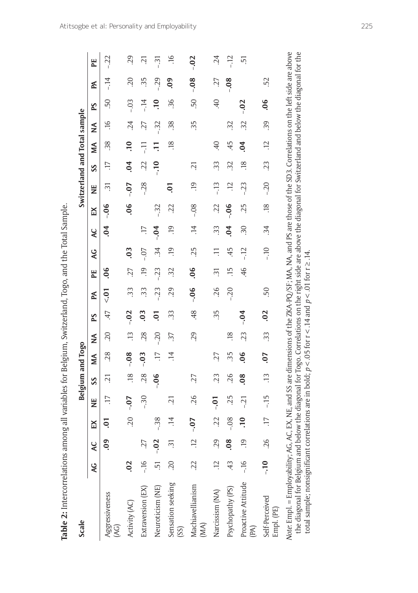| I                     |
|-----------------------|
|                       |
|                       |
|                       |
|                       |
|                       |
| $-1 - 1 - 1 = -1$     |
|                       |
|                       |
|                       |
|                       |
| -<br>-<br>-<br>-<br>- |
|                       |
|                       |
|                       |
|                       |
|                       |
|                       |
|                       |
|                       |
|                       |
|                       |
|                       |
|                       |
|                       |
|                       |
|                       |
|                       |
|                       |
|                       |
|                       |
|                       |
|                       |
|                       |
|                       |
|                       |
|                       |
| うころうきりこう りょくりょう       |
|                       |
|                       |
|                       |
|                       |
|                       |
|                       |
|                       |
|                       |
|                       |
|                       |
|                       |
|                       |
|                       |
| ֘<br>;                |

| Scale                                                                                                                                                                                                                                                                                                                                                                                                                                                   |                |                 |                  |                 | <b>Belgium and Togo</b> |                 |            |                |         |                     |                |                 |                | Switzerland and Total sample |                 |                  |                |                 |                |                 |
|---------------------------------------------------------------------------------------------------------------------------------------------------------------------------------------------------------------------------------------------------------------------------------------------------------------------------------------------------------------------------------------------------------------------------------------------------------|----------------|-----------------|------------------|-----------------|-------------------------|-----------------|------------|----------------|---------|---------------------|----------------|-----------------|----------------|------------------------------|-----------------|------------------|----------------|-----------------|----------------|-----------------|
|                                                                                                                                                                                                                                                                                                                                                                                                                                                         | <b>SK</b>      | ¥               | E(X)             | Ë               | SS                      | ≸               | ≸          | PS             | K       | EE                  | <b>Q</b>       | Q               | K              | Ë                            | SS              | ≸                | ≸              | PS              | K              | PE              |
| Aggressiveness<br>$\overline{(\overline{AC})}$                                                                                                                                                                                                                                                                                                                                                                                                          |                | $\overline{0}$  | $\overline{0}$   | $\overline{17}$ | $\overline{c}$          | 28.             | 20         | 47             | $50 -$  | 06                  |                | $\dot{5}$       | $-0.06$        | $\widetilde{\Xi}$            | $\overline{17}$ | 38.              | $\frac{16}{1}$ | 50              | $-14$          | $-.22$          |
| Activity (AC)                                                                                                                                                                                                                                                                                                                                                                                                                                           | 02             |                 | 20               | $-0.07$         | $\overline{.18}$        | $-0.08$         | $\ddot{1}$ | $-.02$         | 33      | 27                  | 0 <sup>3</sup> |                 | 06             | $-0.07$                      | 0 <sub>1</sub>  | $\overline{.}10$ | 24             | $-0.3$          | 20             | .29             |
| Extraversion (EX)                                                                                                                                                                                                                                                                                                                                                                                                                                       | $-16$          | 27              |                  | $-30$           | 28.                     | $-0.03$         | 28.        | $\overline{0}$ | 33      | .19                 | $-0.7$         | $\overline{17}$ |                | $-28$                        | 22              | Ę                | 27             | $-14$           | 35             | $\overline{21}$ |
| Neuroticism (NE)                                                                                                                                                                                                                                                                                                                                                                                                                                        | $\overline{5}$ | $-.02$          | $-38$            |                 | $-0.06$                 | $\overline{17}$ | $-20$      | $\overline{0}$ | $-23$   | $-23$               | $\ddot{34}$    | $-0.04$         | $-32$          |                              | $-10$           |                  | $-32$          | $\ddot{ }$      | $-29$          | $-31$           |
| Sensation seeking<br>(SS)                                                                                                                                                                                                                                                                                                                                                                                                                               | 20             | ಸ               | $\overline{14}$  | $\ddot{c}$      |                         | $\ddot{=}$      | 37         | ξč.            | 29      | 32                  | $\overline{0}$ | $\overline{0}$  | 22             | <b>P</b>                     |                 | $\overline{.18}$ | 38.            | 96              | $\overline{0}$ | $\ddot{ }$      |
| Machiavellianism<br>(MA)                                                                                                                                                                                                                                                                                                                                                                                                                                | 22             | $\overline{12}$ | $-0.07$          | 26              | 27                      |                 | 29         | 48             | $-0.06$ | 06                  | 25             | $\ddot{=}$      | $-0.8$         | $\ddot{5}$                   | $\overline{c}$  |                  | 55.            | SO.             | $-0.08$        | $-0.02$         |
| Narcissism (NA)                                                                                                                                                                                                                                                                                                                                                                                                                                         | $\ddot{c}$     | 29              | 22               | $-0.01$         | 23                      | 27              |            | 55.            | 26      | $\widetilde{\cdot}$ | $\Xi$          | ξč.             | 22             | $-13$                        | 33              | $\overline{40}$  |                | $\overline{40}$ | 27             | $\ddot{c}$      |
| Psychopathy (PS)                                                                                                                                                                                                                                                                                                                                                                                                                                        | 43             | $\ddot{\rm o}$  | $-0.8$           | 25              | 26                      | 35              | 18         |                | $-20$   | $\overline{15}$     | 45             | $\overline{6}$  | $-0.0$         |                              | 32              | 45               | 32             |                 | $-0.08$        | $-12$           |
| Proactive Attitude<br>$(\mathbb{R})$                                                                                                                                                                                                                                                                                                                                                                                                                    | $-16$          | $\overline{0}$  | $\overline{.10}$ | $-21$           | $\overline{0}$          | $\overline{0}$  | 23         | $-0.04$        |         | 46                  | $-12$          | $\ddot{.}30$    | 25             | $-23$                        | $\frac{8}{18}$  | $\overline{0}$   | 32             | $-0.02$         |                | 51              |
| Self-Perceived<br>Empl. (PE)                                                                                                                                                                                                                                                                                                                                                                                                                            | $-10$          | 26              | $\overline{17}$  | $-15$           | $\ddot{1}$              | -07             | 33         | .02            | 50      |                     | $-10$          | $\ddot{34}$     | $\frac{8}{18}$ | $-.20$                       | 23              | $\overline{12}$  | 39             | 06              | 52             |                 |
| Note: Empl. = Employability; AG, AG, EX, NE, and SS are dimensions of the ZKA-PQ/SF; MA, NA, and PS are those of the SD3. Correlations on the left side are above<br>the diagonal for Belgium and below the diagonal for Togo. Correlations on the right side are above the diagonal for Switzerland and below the diagonal for the<br>total sample; nonsignificant correlations are in bold; $p < 0.05$ for $r < 1.4$ and $p < 0.01$ for $r \ge 1.4$ . |                |                 |                  |                 |                         |                 |            |                |         |                     |                |                 |                |                              |                 |                  |                |                 |                |                 |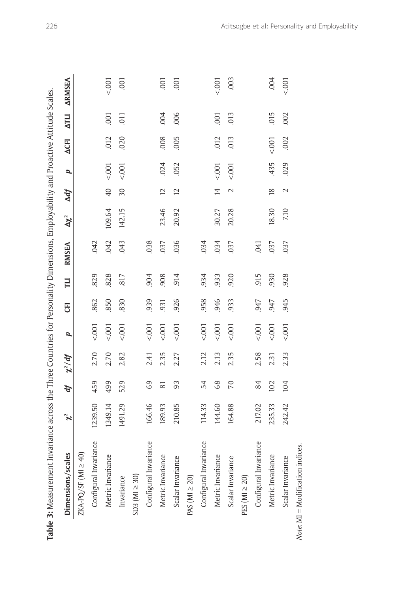| Dimensions/scales                        |     | $\chi^2$ | ď              | $\chi^2/df$ | p      | E    | $\overline{u}$ | <b>RMSEA</b> | $\Delta \chi^2$ | $\Delta df$     | d      | <b>ACFI</b> | <b>NLIV</b>    | <b>ARMSEA</b> |
|------------------------------------------|-----|----------|----------------|-------------|--------|------|----------------|--------------|-----------------|-----------------|--------|-------------|----------------|---------------|
| $ZKA$ -PQ/SF (MI $\geq$ 40)              |     |          |                |             |        |      |                |              |                 |                 |        |             |                |               |
| Configural Invarian                      | ප   | 1239.50  | 459            | 2.70        | < .001 | 862  | 829            | 042          |                 |                 |        |             |                |               |
| Metric Invariance                        |     | 1349.14  | 499            | 2.70        | < .001 | 850  | 828            | 042          | 109.64          | $\overline{40}$ | < .001 | 012         | .001           | < .001        |
| Invariance                               |     | 1491.29  | 529            | 2.82        | < .001 | 830  | 817            | .043         | 142.15          | 30              | < .001 | .020        | 011            | .001          |
| $SD3 (MI \geq 30)$                       |     |          |                |             |        |      |                |              |                 |                 |        |             |                |               |
| Configural Invarian                      | ି । | 166.46   | 69             | 2.41        | 001    | 939  | 904            | 038          |                 |                 |        |             |                |               |
| Metric Invariance                        |     | 189.93   | $\overline{8}$ | 2.35        | < .001 | .931 | 908            | 037          | 23.46           | $\overline{c}$  | 024    | .008        | .004           | .001          |
| Scalar Invariance                        |     | 210.85   | 93             | 2.27        | < .001 | 926  | 914            | .036         | 20.92           | $\overline{c}$  | .052   | 005         | 006            | .001          |
| PAS ( $MI \geq 20$ )                     |     |          |                |             |        |      |                |              |                 |                 |        |             |                |               |
| Configural Invariance                    |     | 114.33   | 54             | 2.12        | < .001 | 958  | 934            | 034          |                 |                 |        |             |                |               |
| Metric Invariance                        |     | 144.60   | 89             | 2.13        | < .001 | 946  | 933            | .034         | 30.27           | $\overline{4}$  | < .001 | 012         | $\overline{0}$ | 5001          |
| Scalar Invariance                        |     | 164.88   | $\overline{C}$ | 2.35        | 5001   | 933  | 920            | 037          | 20.28           | $\sim$          | 5001   | 013         | 013            | 003           |
| PES ( $Ml \geq 20$ )                     |     |          |                |             |        |      |                |              |                 |                 |        |             |                |               |
| Configural Invarian                      | ର   | 217.02   | 84             | 2.58        | < .001 | 947  | 915            | 041          |                 |                 |        |             |                |               |
| Metric Invariance                        |     | 235.33   | 102            | 2.31        | 5001   | 947  | 930            | 037          | 18.30           | $\frac{8}{2}$   | 435    | 5001        | 015            | .004          |
| Scalar Invariance                        |     | 242.42   | 104            | 2.33        | 5001   | 945  | 928            | 037          | 7.10            | $\mathcal{L}$   | 029    | .002        | .002           | 5001          |
| <i>Note:</i> $MI = Modification indices$ |     |          |                |             |        |      |                |              |                 |                 |        |             |                |               |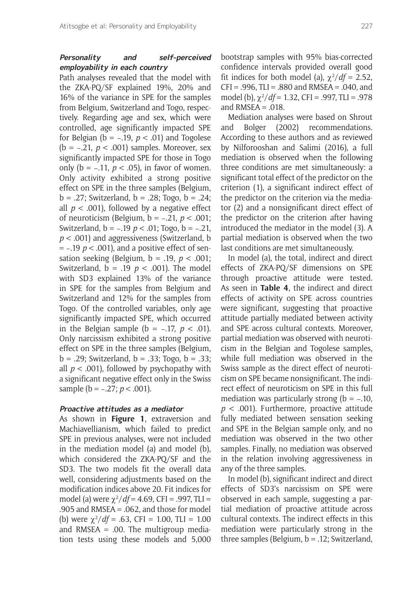## **Personality and self-perceived employability in each country**

Path analyses revealed that the model with the ZKA-PQ/SF explained 19%, 20% and 16% of the variance in SPE for the samples from Belgium, Switzerland and Togo, respectively. Regarding age and sex, which were controlled, age significantly impacted SPE for Belgian (b = −.19, *p* < .01) and Togolese (b = −.21, *p* < .001) samples. Moreover, sex significantly impacted SPE for those in Togo only (b = −.11, *p* < .05), in favor of women. Only activity exhibited a strong positive effect on SPE in the three samples (Belgium, b = .27; Switzerland, b = .28; Togo, b = .24; all  $p < .001$ ), followed by a negative effect of neuroticism (Belgium, b = −.21, *p* < .001; Switzerland, b = −.19 *p* < .01; Togo, b = −.21, *p* < .001) and aggressiveness (Switzerland, b = −.19 *p* < .001), and a positive effect of sensation seeking (Belgium, b = .19, *p* < .001; Switzerland, b = .19 *p* < .001). The model with SD3 explained 13% of the variance in SPE for the samples from Belgium and Switzerland and 12% for the samples from Togo. Of the controlled variables, only age significantly impacted SPE, which occurred in the Belgian sample (b = −.17, *p* < .01). Only narcissism exhibited a strong positive effect on SPE in the three samples (Belgium, b = .29; Switzerland, b = .33; Togo, b = .33; all  $p < .001$ ), followed by psychopathy with a significant negative effect only in the Swiss sample (b = -.27; *p* < .001).

#### **Proactive attitudes as a mediator**

As shown in **Figure 1**, extraversion and Machiavellianism, which failed to predict SPE in previous analyses, were not included in the mediation model (a) and model (b), which considered the ZKA-PQ/SF and the SD3. The two models fit the overall data well, considering adjustments based on the modification indices above 20. Fit indices for model (a) were  $\chi^2/df = 4.69$ , CFI = .997, TLI = .905 and RMSEA = .062, and those for model (b) were  $\chi^2/df = .63$ , CFI = 1.00, TLI = 1.00 and RMSEA = .00. The multigroup mediation tests using these models and 5,000

bootstrap samples with 95% bias-corrected confidence intervals provided overall good fit indices for both model (a),  $\chi^2/df = 2.52$ ,  $CFI = .996$ ,  $TLI = .880$  and RMSEA = .040, and model (b), χ<sup>2</sup> /*df* = 1.32, CFI = .997, TLI = .978 and  $RMSEA = .018$ .

Mediation analyses were based on Shrout and Bolger (2002) recommendations. According to these authors and as reviewed by Nilforooshan and Salimi (2016), a full mediation is observed when the following three conditions are met simultaneously: a significant total effect of the predictor on the criterion (1), a significant indirect effect of the predictor on the criterion via the mediator (2) and a nonsignificant direct effect of the predictor on the criterion after having introduced the mediator in the model (3). A partial mediation is observed when the two last conditions are met simultaneously.

In model (a), the total, indirect and direct effects of ZKA-PQ/SF dimensions on SPE through proactive attitude were tested. As seen in **Table 4**, the indirect and direct effects of activity on SPE across countries were significant, suggesting that proactive attitude partially mediated between activity and SPE across cultural contexts. Moreover, partial mediation was observed with neuroticism in the Belgian and Togolese samples, while full mediation was observed in the Swiss sample as the direct effect of neuroticism on SPE became nonsignificant. The indirect effect of neuroticism on SPE in this full mediation was particularly strong ( $b = -.10$ , *p* < .001). Furthermore, proactive attitude fully mediated between sensation seeking and SPE in the Belgian sample only, and no mediation was observed in the two other samples. Finally, no mediation was observed in the relation involving aggressiveness in any of the three samples.

In model (b), significant indirect and direct effects of SD3's narcissism on SPE were observed in each sample, suggesting a partial mediation of proactive attitude across cultural contexts. The indirect effects in this mediation were particularly strong in the three samples (Belgium, b = .12; Switzerland,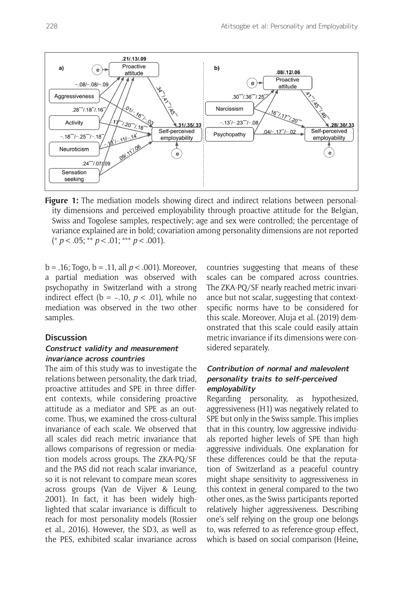

**Figure 1:** The mediation models showing direct and indirect relations between personality dimensions and perceived employability through proactive attitude for the Belgian, Swiss and Togolese samples, respectively; age and sex were controlled; the percentage of variance explained are in bold; covariation among personality dimensions are not reported (\* *p* < .05; \*\* *p* < .01; \*\*\* *p* < .001).

b = .16; Togo, b = .11, all *p* < .001). Moreover, a partial mediation was observed with psychopathy in Switzerland with a strong indirect effect (b = −.10, *p* < .01), while no mediation was observed in the two other samples.

#### **Discussion**

#### **Construct validity and measurement invariance across countries**

The aim of this study was to investigate the relations between personality, the dark triad, proactive attitudes and SPE in three different contexts, while considering proactive attitude as a mediator and SPE as an outcome. Thus, we examined the cross-cultural invariance of each scale. We observed that all scales did reach metric invariance that allows comparisons of regression or mediation models across groups. The ZKA-PQ/SF and the PAS did not reach scalar invariance, so it is not relevant to compare mean scores across groups (Van de Vijver & Leung, 2001). In fact, it has been widely highlighted that scalar invariance is difficult to reach for most personality models (Rossier et al., 2016). However, the SD3, as well as the PES, exhibited scalar invariance across countries suggesting that means of these scales can be compared across countries. The ZKA-PQ/SF nearly reached metric invariance but not scalar, suggesting that contextspecific norms have to be considered for this scale. Moreover, Aluja et al. (2019) demonstrated that this scale could easily attain metric invariance if its dimensions were considered separately.

## **Contribution of normal and malevolent personality traits to self-perceived employability**

Regarding personality, as hypothesized, aggressiveness (H1) was negatively related to SPE but only in the Swiss sample. This implies that in this country, low aggressive individuals reported higher levels of SPE than high aggressive individuals. One explanation for these differences could be that the reputation of Switzerland as a peaceful country might shape sensitivity to aggressiveness in this context in general compared to the two other ones, as the Swiss participants reported relatively higher aggressiveness. Describing one's self relying on the group one belongs to, was referred to as reference-group effect, which is based on social comparison (Heine,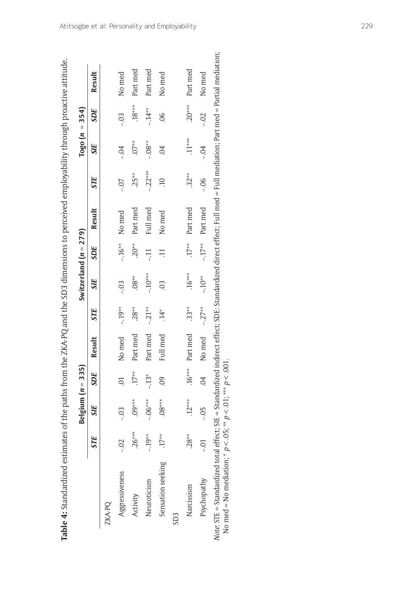|                   |            | Belgium $(n = 335)$ |                |                           |            | Switzerland $(n = 279)$ |     |                            |            |                          | Togo ( $n = 354$ ) |                 |
|-------------------|------------|---------------------|----------------|---------------------------|------------|-------------------------|-----|----------------------------|------------|--------------------------|--------------------|-----------------|
|                   | <b>STE</b> | <b>SIE</b>          | SDE            | Result                    | <b>STE</b> | <b>SIE</b>              | SDE | Result                     | <b>STE</b> | SIE                      | SDE                | Result          |
| ZKA-PO            |            |                     |                |                           |            |                         |     |                            |            |                          |                    |                 |
| Aggressiveness    |            | $-0.3$              | $\overline{0}$ | No med                    | $-.19***$  | $-0.0$                  |     | $-.16***$ No med           | $-0.7$     | $-0.7$                   | $-0.3$             | No med          |
| Activity          | $.26***$   | $.09***$            | $.17**$        | Part med                  | $.28**$    | $.08**$                 |     | .20 <sup>**</sup> Part med | $.25**$    | $.07**$                  | $.18***$           | Part med        |
| Neuroticism       | $-19**$    | $-0.06***$          | $-13*$         | Part med                  | $-21**$    | $-10***$                |     | Full med                   | $-22***$   | $-0.08$ **               | $-.14**$           | Part med        |
| Sensation seeking | $.17**$    | $.08***$            | $\overline{6}$ | Full med                  | $\ddot{4}$ |                         |     | No med                     |            | $\widetilde{\mathrm{O}}$ | $\frac{8}{2}$      | No med          |
| SD <sub>3</sub>   |            |                     |                |                           |            |                         |     |                            |            |                          |                    |                 |
| Narcissism        | $.28**$    | $.12***$            |                | $.16***$ Part med $.33**$ |            | $.16***$                |     | $.17***$ Part med          | $32**$     | $.11***$                 |                    | .20*** Part med |
| Psychopathy       |            | $-0.5$              |                | $04$ No med $-27**$       |            | $-10**$                 |     | $-.17***$ Part med         | $-0.0$     | $-0.4$                   | $-0.02$            | No med          |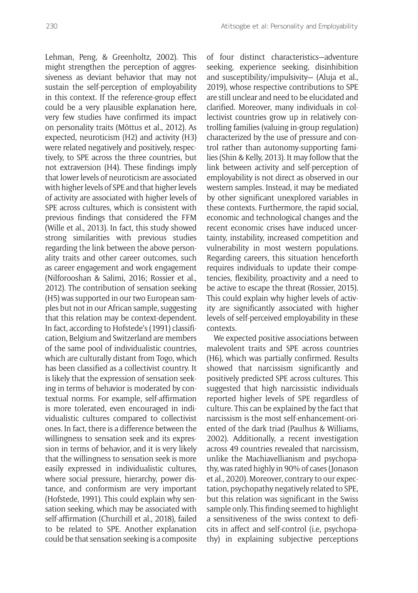Lehman, Peng, & Greenholtz, 2002). This might strengthen the perception of aggressiveness as deviant behavior that may not sustain the self-perception of employability in this context. If the reference-group effect could be a very plausible explanation here, very few studies have confirmed its impact on personality traits (Mõttus et al., 2012). As expected, neuroticism (H2) and activity (H3) were related negatively and positively, respectively, to SPE across the three countries, but not extraversion (H4). These findings imply that lower levels of neuroticism are associated with higher levels of SPE and that higher levels of activity are associated with higher levels of SPE across cultures, which is consistent with previous findings that considered the FFM (Wille et al., 2013). In fact, this study showed strong similarities with previous studies regarding the link between the above personality traits and other career outcomes, such as career engagement and work engagement (Nilforooshan & Salimi, 2016; Rossier et al., 2012). The contribution of sensation seeking (H5) was supported in our two European samples but not in our African sample, suggesting that this relation may be context-dependent. In fact, according to Hofstede's (1991) classification, Belgium and Switzerland are members of the same pool of individualistic countries, which are culturally distant from Togo, which has been classified as a collectivist country. It is likely that the expression of sensation seeking in terms of behavior is moderated by contextual norms. For example, self-affirmation is more tolerated, even encouraged in individualistic cultures compared to collectivist ones. In fact, there is a difference between the willingness to sensation seek and its expression in terms of behavior, and it is very likely that the willingness to sensation seek is more easily expressed in individualistic cultures, where social pressure, hierarchy, power distance, and conformism are very important (Hofstede, 1991). This could explain why sensation seeking, which may be associated with self-affirmation (Churchill et al., 2018), failed to be related to SPE. Another explanation could be that sensation seeking is a composite of four distinct characteristics—adventure seeking, experience seeking, disinhibition and susceptibility/impulsivity— (Aluja et al., 2019), whose respective contributions to SPE are still unclear and need to be elucidated and clarified. Moreover, many individuals in collectivist countries grow up in relatively controlling families (valuing in-group regulation) characterized by the use of pressure and control rather than autonomy-supporting families (Shin & Kelly, 2013). It may follow that the link between activity and self-perception of employability is not direct as observed in our western samples. Instead, it may be mediated by other significant unexplored variables in these contexts. Furthermore, the rapid social, economic and technological changes and the recent economic crises have induced uncertainty, instability, increased competition and vulnerability in most western populations. Regarding careers, this situation henceforth requires individuals to update their competencies, flexibility, proactivity and a need to be active to escape the threat (Rossier, 2015). This could explain why higher levels of activity are significantly associated with higher levels of self-perceived employability in these contexts.

We expected positive associations between malevolent traits and SPE across countries (H6), which was partially confirmed. Results showed that narcissism significantly and positively predicted SPE across cultures. This suggested that high narcissistic individuals reported higher levels of SPE regardless of culture. This can be explained by the fact that narcissism is the most self-enhancement-oriented of the dark triad (Paulhus & Williams, 2002). Additionally, a recent investigation across 49 countries revealed that narcissism, unlike the Machiavellianism and psychopathy, was rated highly in 90% of cases (Jonason et al., 2020). Moreover, contrary to our expectation, psychopathy negatively related to SPE, but this relation was significant in the Swiss sample only. This finding seemed to highlight a sensitiveness of the swiss context to deficits in affect and self-control (i.e, psychopathy) in explaining subjective perceptions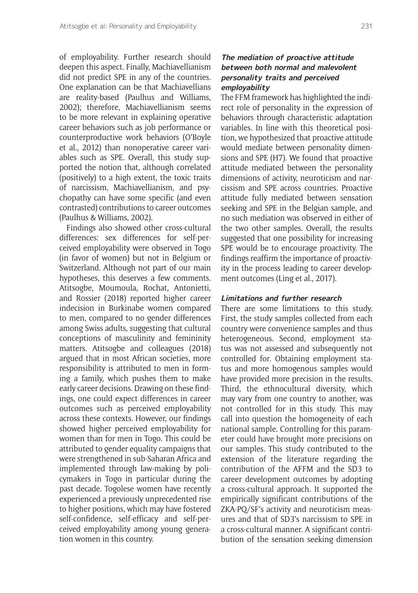of employability. Further research should deepen this aspect. Finally, Machiavellianism did not predict SPE in any of the countries. One explanation can be that Machiavellians are reality-based (Paulhus and Williams, 2002); therefore, Machiavellianism seems to be more relevant in explaining operative career behaviors such as job performance or counterproductive work behaviors (O'Boyle et al., 2012) than nonoperative career variables such as SPE. Overall, this study supported the notion that, although correlated (positively) to a high extent, the toxic traits of narcissism, Machiavellianism, and psychopathy can have some specific (and even contrasted) contributions to career outcomes (Paulhus & Williams, 2002).

Findings also showed other cross-cultural differences: sex differences for self-perceived employability were observed in Togo (in favor of women) but not in Belgium or Switzerland. Although not part of our main hypotheses, this deserves a few comments. Atitsogbe, Moumoula, Rochat, Antonietti, and Rossier (2018) reported higher career indecision in Burkinabe women compared to men, compared to no gender differences among Swiss adults, suggesting that cultural conceptions of masculinity and femininity matters. Atitsogbe and colleagues (2018) argued that in most African societies, more responsibility is attributed to men in forming a family, which pushes them to make early career decisions. Drawing on these findings, one could expect differences in career outcomes such as perceived employability across these contexts. However, our findings showed higher perceived employability for women than for men in Togo. This could be attributed to gender equality campaigns that were strengthened in sub-Saharan Africa and implemented through law-making by policymakers in Togo in particular during the past decade. Togolese women have recently experienced a previously unprecedented rise to higher positions, which may have fostered self-confidence, self-efficacy and self-perceived employability among young generation women in this country.

## **The mediation of proactive attitude between both normal and malevolent personality traits and perceived employability**

The FFM framework has highlighted the indirect role of personality in the expression of behaviors through characteristic adaptation variables. In line with this theoretical position, we hypothesized that proactive attitude would mediate between personality dimensions and SPE (H7). We found that proactive attitude mediated between the personality dimensions of activity, neuroticism and narcissism and SPE across countries. Proactive attitude fully mediated between sensation seeking and SPE in the Belgian sample, and no such mediation was observed in either of the two other samples. Overall, the results suggested that one possibility for increasing SPE would be to encourage proactivity. The findings reaffirm the importance of proactivity in the process leading to career development outcomes (Ling et al., 2017).

#### **Limitations and further research**

There are some limitations to this study. First, the study samples collected from each country were convenience samples and thus heterogeneous. Second, employment status was not assessed and subsequently not controlled for. Obtaining employment status and more homogenous samples would have provided more precision in the results. Third, the ethnocultural diversity, which may vary from one country to another, was not controlled for in this study. This may call into question the homogeneity of each national sample. Controlling for this parameter could have brought more precisions on our samples. This study contributed to the extension of the literature regarding the contribution of the AFFM and the SD3 to career development outcomes by adopting a cross-cultural approach. It supported the empirically significant contributions of the ZKA-PQ/SF's activity and neuroticism measures and that of SD3's narcissism to SPE in a cross-cultural manner. A significant contribution of the sensation seeking dimension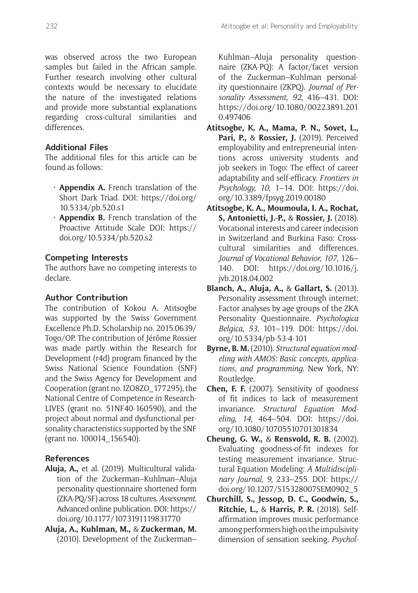was observed across the two European samples but failed in the African sample. Further research involving other cultural contexts would be necessary to elucidate the nature of the investigated relations and provide more substantial explanations regarding cross-cultural similarities and differences.

## **Additional Files**

The additional files for this article can be found as follows:

- **Appendix A.** French translation of the Short Dark Triad. DOI: [https://doi.org/](https://doi.org/10.5334/pb.520.s1) [10.5334/pb.520.s1](https://doi.org/10.5334/pb.520.s1)
- **Appendix B.** French translation of the Proactive Attitude Scale DOI: [https://](https://doi.org/10.5334/pb.520.s2) [doi.org/10.5334/pb.520.s2](https://doi.org/10.5334/pb.520.s2)

## **Competing Interests**

The authors have no competing interests to declare.

## **Author Contribution**

The contribution of Kokou A. Atitsogbe was supported by the Swiss Government Excellence Ph.D. Scholarship no. 2015.0639/ Togo/OP. The contribution of Jérôme Rossier was made partly within the Research for Development (r4d) program financed by the Swiss National Science Foundation (SNF) and the Swiss Agency for Development and Cooperation (grant no. IZO8ZO\_177295), the National Centre of Competence in Research-LIVES (grant no. 51NF40-160590), and the project about normal and dysfunctional personality characteristics supported by the SNF (grant no. 100014\_156540).

## **References**

- **Aluja, A.,** et al. (2019). Multicultural validation of the Zuckerman–Kuhlman–Aluja personality questionnaire shortened form (ZKA-PQ/SF) across 18 cultures. *Assessment*. Advanced online publication. DOI: [https://](https://doi.org/10.1177/1073191119831770) [doi.org/10.1177/1073191119831770](https://doi.org/10.1177/1073191119831770)
- **Aluja, A., Kuhlman, M.,** & **Zuckerman, M.**  (2010). Development of the Zuckerman–

Kuhlman–Aluja personality questionnaire (ZKA-PQ): A factor/facet version of the Zuckerman–Kuhlman personality questionnaire (ZKPQ). *Journal of Personality Assessment, 92*, 416–431. DOI: [https://doi.org/10.1080/00223891.201](https://doi.org/10.1080/00223891.2010.497406) [0.497406](https://doi.org/10.1080/00223891.2010.497406)

- **Atitsogbe, K. A., Mama, P. N., Sovet, L., Pari, P.,** & **Rossier, J.** (2019). Perceived employability and entrepreneurial intentions across university students and job seekers in Togo: The effect of career adaptability and self-efficacy. *Frontiers in Psychology, 10*, 1–14. DOI: [https://doi.](https://doi.org/10.3389/fpsyg.2019.00180) [org/10.3389/fpsyg.2019.00180](https://doi.org/10.3389/fpsyg.2019.00180)
- **Atitsogbe, K. A., Moumoula, I. A., Rochat, S, Antonietti, J.-P.,** & **Rossier, J.** (2018). Vocational interests and career indecision in Switzerland and Burkina Faso: Crosscultural similarities and differences. *Journal of Vocational Behavior, 107*, 126– 140. DOI: [https://doi.org/10.1016/j.](https://doi.org/10.1016/j.jvb.2018.04.002) [jvb.2018.04.002](https://doi.org/10.1016/j.jvb.2018.04.002)
- **Blanch, A., Aluja, A.,** & **Gallart, S.** (2013). Personality assessment through internet: Factor analyses by age groups of the ZKA Personality Questionnaire. *Psychologica Belgica, 53*, 101–119. DOI: [https://doi.](https://doi.org/10.5334/pb-53-4-101) [org/10.5334/pb-53-4-101](https://doi.org/10.5334/pb-53-4-101)
- **Byrne, B. M.** (2010). *Structural equation modeling with AMOS: Basic concepts, applications, and programming*. New York, NY: Routledge.
- **Chen, F. F.** (2007). Sensitivity of goodness of fit indices to lack of measurement invariance. *Structural Equation Modeling, 14*, 464–504. DOI: [https://doi.](https://doi.org/10.1080/10705510701301834) [org/10.1080/10705510701301834](https://doi.org/10.1080/10705510701301834)
- **Cheung, G. W.,** & **Rensvold, R. B.** (2002). Evaluating goodness-of-fit indexes for testing measurement invariance. Structural Equation Modeling: *A Multidisciplinary Journal, 9*, 233–255. DOI: [https://](https://doi.org/10.1207/S15328007SEM0902_5) [doi.org/10.1207/S15328007SEM0902\\_5](https://doi.org/10.1207/S15328007SEM0902_5)
- **Churchill, S., Jessop, D. C., Goodwin, S., Ritchie, L.,** & **Harris, P. R.** (2018). Selfaffirmation improves music performance among performers high on the impulsivity dimension of sensation seeking. *Psychol-*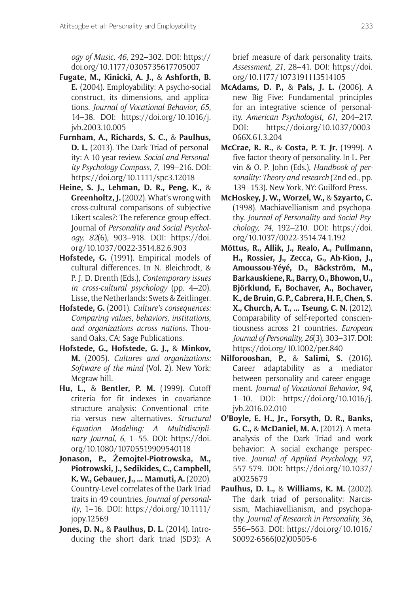*ogy of Music, 46*, 292–302. DOI: [https://](https://doi.org/10.1177/0305735617705007) [doi.org/10.1177/0305735617705007](https://doi.org/10.1177/0305735617705007)

- **Fugate, M., Kinicki, A. J.,** & **Ashforth, B. E.** (2004). Employability: A psycho-social construct, its dimensions, and applications. *Journal of Vocational Behavior, 65*, 14–38. DOI: [https://doi.org/10.1016/j.](https://doi.org/10.1016/j.jvb.2003.10.005) [jvb.2003.10.005](https://doi.org/10.1016/j.jvb.2003.10.005)
- **Furnham, A., Richards, S. C.,** & **Paulhus, D. L.** (2013). The Dark Triad of personality: A 10-year review. *Social and Personality Psychology Compass, 7*, 199–216. DOI: <https://doi.org/10.1111/spc3.12018>
- **Heine, S. J., Lehman, D. R., Peng, K.,** & **Greenholtz, J.** (2002). What's wrong with cross-cultural comparisons of subjective Likert scales?: The reference-group effect. Journal of *Personality and Social Psychology, 82*(6), 903–918. DOI: [https://doi.](https://doi.org/10.1037/0022-3514.82.6.903) [org/10.1037/0022-3514.82.6.903](https://doi.org/10.1037/0022-3514.82.6.903)
- **Hofstede, G.** (1991). Empirical models of cultural differences. In N. Bleichrodt, & P. J. D. Drenth (Eds.), *Contemporary issues in cross-cultural psychology* (pp. 4–20). Lisse, the Netherlands: Swets & Zeitlinger.
- **Hofstede, G.** (2001). *Culture's consequences: Comparing values, behaviors, institutions, and organizations across nations*. Thousand Oaks, CA: Sage Publications.
- **Hofstede, G., Hofstede, G. J.,** & **Minkov, M.** (2005). *Cultures and organizations: Software of the mind* (Vol. 2). New York: Mcgraw-hill.
- **Hu, L.,** & **Bentler, P. M.** (1999). Cutoff criteria for fit indexes in covariance structure analysis: Conventional criteria versus new alternatives. *Structural Equation Modeling: A Multidisciplinary Journal, 6*, 1–55. DOI: [https://doi.](https://doi.org/10.1080/10705519909540118) [org/10.1080/10705519909540118](https://doi.org/10.1080/10705519909540118)
- **Jonason, P., Żemojtel-Piotrowska, M., Piotrowski, J., Sedikides, C., Campbell, K. W., Gebauer, J., … Mamuti, A.** (2020). Country-Level correlates of the Dark Triad traits in 49 countries. *Journal of personality*, 1–16. DOI: [https://doi.org/10.1111/](https://doi.org/10.1111/jopy.12569) [jopy.12569](https://doi.org/10.1111/jopy.12569)
- **Jones, D. N.,** & **Paulhus, D. L.** (2014). Introducing the short dark triad (SD3): A

brief measure of dark personality traits. *Assessment, 21*, 28–41. DOI: [https://doi.](https://doi.org/10.1177/1073191113514105) [org/10.1177/1073191113514105](https://doi.org/10.1177/1073191113514105)

- **McAdams, D. P.,** & **Pals, J. L.** (2006). A new Big Five: Fundamental principles for an integrative science of personality. *American Psychologist, 61*, 204–217. DOI: [https://doi.org/10.1037/0003-](https://doi.org/10.1037/0003-066X.61.3.204) [066X.61.3.204](https://doi.org/10.1037/0003-066X.61.3.204)
- **McCrae, R. R.,** & **Costa, P. T. Jr.** (1999). A five-factor theory of personality. In L. Pervin & O. P. John (Eds.), *Handbook of personality: Theory and research* (2nd ed., pp. 139–153). New York, NY: Guilford Press.
- **McHoskey, J. W., Worzel, W.,** & **Szyarto, C.**  (1998). Machiavellianism and psychopathy. *Journal of Personality and Social Psychology, 74*, 192–210. DOI: [https://doi.](https://doi.org/10.1037/0022-3514.74.1.192) [org/10.1037/0022-3514.74.1.192](https://doi.org/10.1037/0022-3514.74.1.192)
- **Mõttus, R., Allik, J., Realo, A., Pullmann, H., Rossier, J., Zecca, G., Ah**-**Kion, J., Amoussou**-**Yéyé, D., Bäckström, M., Barkauskiene, R., Barry, O., Bhowon, U., Björklund, F., Bochaver, A., Bochaver, K., de Bruin, G. P., Cabrera, H. F., Chen, S. X., Church, A. T., … Tseung, C. N.** (2012). Comparability of self-reported conscientiousness across 21 countries. *European Journal of Personality, 26*(3), 303–317. DOI: <https://doi.org/10.1002/per.840>
- **Nilforooshan, P.,** & **Salimi, S.** (2016). Career adaptability as a mediator between personality and career engagement. *Journal of Vocational Behavior, 94*, 1–10. DOI: [https://doi.org/10.1016/j.](https://doi.org/10.1016/j.jvb.2016.02.010) [jvb.2016.02.010](https://doi.org/10.1016/j.jvb.2016.02.010)
- **O'Boyle, E. H., Jr., Forsyth, D. R., Banks, G. C.,** & **McDaniel, M. A.** (2012). A metaanalysis of the Dark Triad and work behavior: A social exchange perspective. *Journal of Applied Psychology, 97*, 557-579. DOI: [https://doi.org/10.1037/](https://doi.org/10.1037/a0025679) [a0025679](https://doi.org/10.1037/a0025679)
- **Paulhus, D. L.,** & **Williams, K. M.** (2002). The dark triad of personality: Narcissism, Machiavellianism, and psychopathy. *Journal of Research in Personality, 36*, 556–563. DOI: [https://doi.org/10.1016/](https://doi.org/10.1016/S0092-6566(02)00505-6) [S0092-6566\(02\)00505-6](https://doi.org/10.1016/S0092-6566(02)00505-6)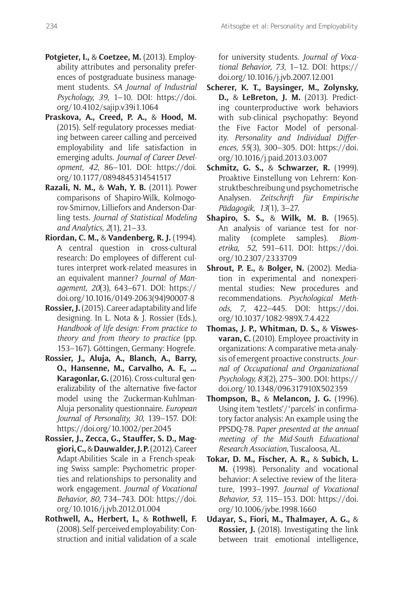- **Potgieter, I.,** & **Coetzee, M.** (2013). Employability attributes and personality preferences of postgraduate business management students. *SA Journal of Industrial Psychology, 39*, 1–10. DOI: [https://doi.](https://doi.org/10.4102/sajip.v39i1.1064) [org/10.4102/sajip.v39i1.1064](https://doi.org/10.4102/sajip.v39i1.1064)
- **Praskova, A., Creed, P. A.,** & **Hood, M.**  (2015). Self-regulatory processes mediating between career calling and perceived employability and life satisfaction in emerging adults. *Journal of Career Development, 42*, 86–101. DOI: [https://doi.](https://doi.org/10.1177/0894845314541517) [org/10.1177/0894845314541517](https://doi.org/10.1177/0894845314541517)
- **Razali, N. M.,** & **Wah, Y. B.** (2011). Power comparisons of Shapiro-Wilk, Kolmogorov-Smirnov, Lilliefors and Anderson-Darling tests. *Journal of Statistical Modeling and Analytics, 2*(1), 21–33.
- **Riordan, C. M.,** & **Vandenberg, R. J.** (1994). A central question in cross-cultural research: Do employees of different cultures interpret work-related measures in an equivalent manner? *Journal of Management, 20*(3), 643–671. DOI: [https://](https://doi.org/10.1016/0149-2063(94)90007-8) [doi.org/10.1016/0149-2063\(94\)90007-8](https://doi.org/10.1016/0149-2063(94)90007-8)
- **Rossier, J.** (2015). Career adaptability and life designing. In L. Nota & J. Rossier (Eds.), *Handbook of life design: From practice to theory and from theory to practice* (pp. 153–167). Göttingen, Germany: Hogrefe.
- **Rossier, J., Aluja, A., Blanch, A., Barry, O., Hansenne, M., Carvalho, A. F., … Karagonlar, G.** (2016). Cross-cultural generalizability of the alternative five-factor model using the Zuckerman-Kuhlman-Aluja personality questionnaire. *European Journal of Personality, 30*, 139–157. DOI: <https://doi.org/10.1002/per.2045>
- **Rossier, J., Zecca, G., Stauffer, S. D., Maggiori, C.,** & **Dauwalder, J. P.** (2012). Career Adapt-Abilities Scale in a French-speaking Swiss sample: Psychometric properties and relationships to personality and work engagement. *Journal of Vocational Behavior, 80*, 734–743. DOI: [https://doi.](https://doi.org/10.1016/j.jvb.2012.01.004) [org/10.1016/j.jvb.2012.01.004](https://doi.org/10.1016/j.jvb.2012.01.004)
- **Rothwell, A., Herbert, I.,** & **Rothwell, F.**  (2008). Self-perceived employability: Construction and initial validation of a scale

for university students. *Journal of Vocational Behavior, 73*, 1–12. DOI: [https://](https://doi.org/10.1016/j.jvb.2007.12.001) [doi.org/10.1016/j.jvb.2007.12.001](https://doi.org/10.1016/j.jvb.2007.12.001)

- **Scherer, K. T., Baysinger, M., Zolynsky, D.,** & **LeBreton, J. M.** (2013). Predicting counterproductive work behaviors with sub-clinical psychopathy: Beyond the Five Factor Model of personality. *Personality and Individual Differences, 55*(3), 300–305. DOI: [https://doi.](https://doi.org/10.1016/j.paid.2013.03.007) [org/10.1016/j.paid.2013.03.007](https://doi.org/10.1016/j.paid.2013.03.007)
- **Schmitz, G. S.,** & **Schwarzer, R.** (1999). Proaktive Einstellung von Lehrern: Konstruktbeschreibung und psychometrische Analysen. *Zeitschrift für Empirische Pädagogik, 13*(1), 3–27.
- **Shapiro, S. S.,** & **Wilk, M. B.** (1965). An analysis of variance test for normality (complete samples). *Biometrika, 52*, 591–611. DOI: [https://doi.](https://doi.org/10.2307/2333709) [org/10.2307/2333709](https://doi.org/10.2307/2333709)
- **Shrout, P. E.,** & **Bolger, N.** (2002). Mediation in experimental and nonexperimental studies: New procedures and recommendations. *Psychological Methods, 7*, 422–445. DOI: [https://doi.](https://doi.org/10.1037/1082-989X.7.4.422) [org/10.1037/1082-989X.7.4.422](https://doi.org/10.1037/1082-989X.7.4.422)
- **Thomas, J. P., Whitman, D. S.,** & **Viswesvaran, C.** (2010). Employee proactivity in organizations: A comparative meta-analysis of emergent proactive constructs. *Journal of Occupational and Organizational Psychology, 83*(2), 275–300. DOI: [https://](https://doi.org/10.1348/096317910X502359) [doi.org/10.1348/096317910X502359](https://doi.org/10.1348/096317910X502359)
- **Thompson, B.,** & **Melancon, J. G.** (1996). Using item 'testlets'/'parcels' in confirmatory factor analysis: An example using the PPSDQ-78. P*aper presented at the annual meeting of the Mid-South Educational Research Association*, Tuscaloosa, AL.
- **Tokar, D. M., Fischer, A. R.,** & **Subich, L. M.** (1998). Personality and vocational behavior: A selective review of the literature, 1993–1997. *Journal of Vocational Behavior, 53*, 115–153. DOI: [https://doi.](https://doi.org/10.1006/jvbe.1998.1660) [org/10.1006/jvbe.1998.1660](https://doi.org/10.1006/jvbe.1998.1660)
- **Udayar, S., Fiori, M., Thalmayer, A. G.,** & **Rossier, J.** (2018). Investigating the link between trait emotional intelligence,